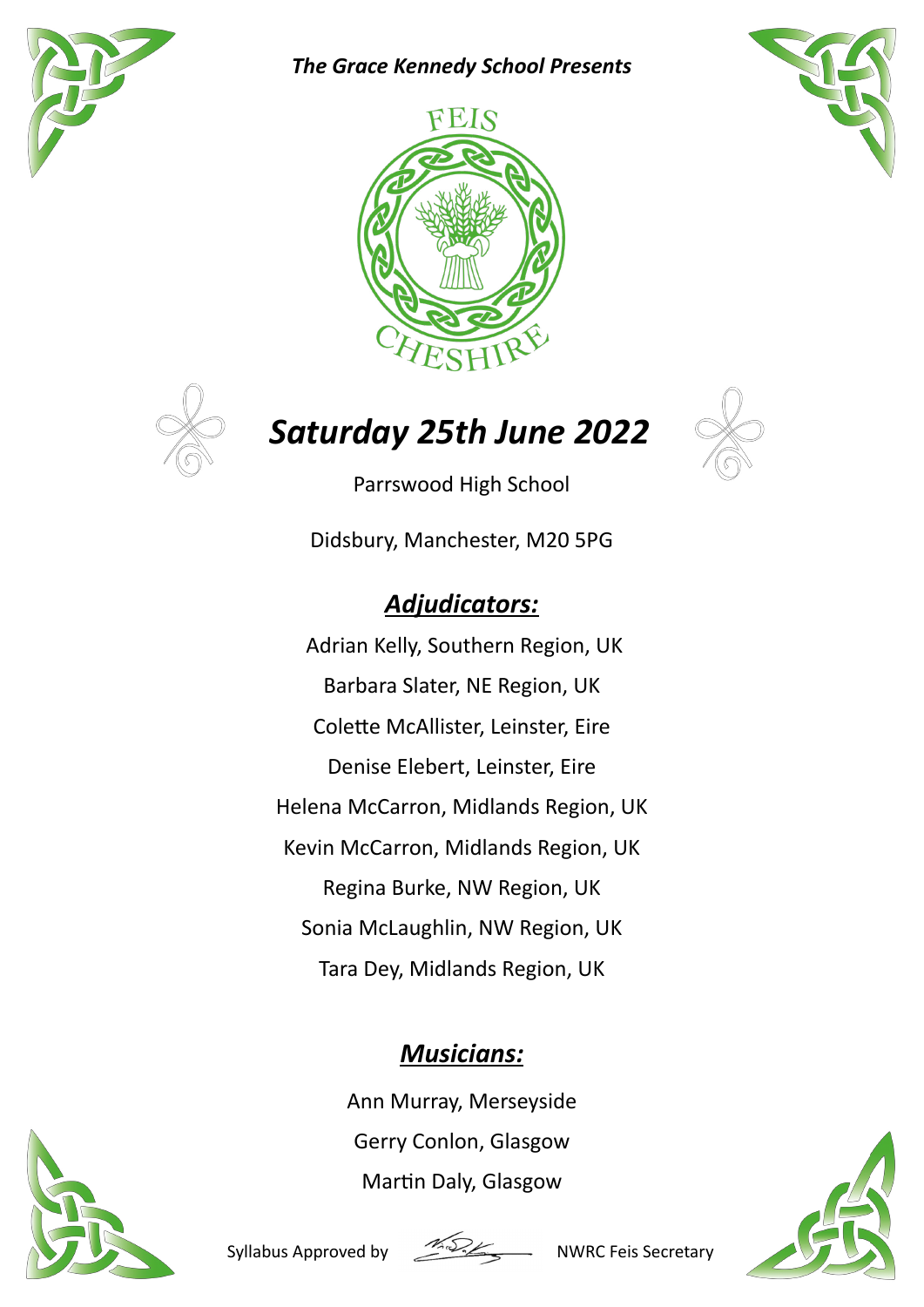

*The Grace Kennedy School Presents*







# *Saturday 25th June 2022*



Parrswood High School

Didsbury, Manchester, M20 5PG

## *Adjudicators:*

 Adrian Kelly, Southern Region, UK Barbara Slater, NE Region, UK Colette McAllister, Leinster, Eire Denise Elebert, Leinster, Eire Helena McCarron, Midlands Region, UK Kevin McCarron, Midlands Region, UK Regina Burke, NW Region, UK Sonia McLaughlin, NW Region, UK Tara Dey, Midlands Region, UK

### *Musicians:*

Ann Murray, Merseyside Gerry Conlon, Glasgow Martin Daly, Glasgow





Syllabus Approved by NWRC Feis Secretary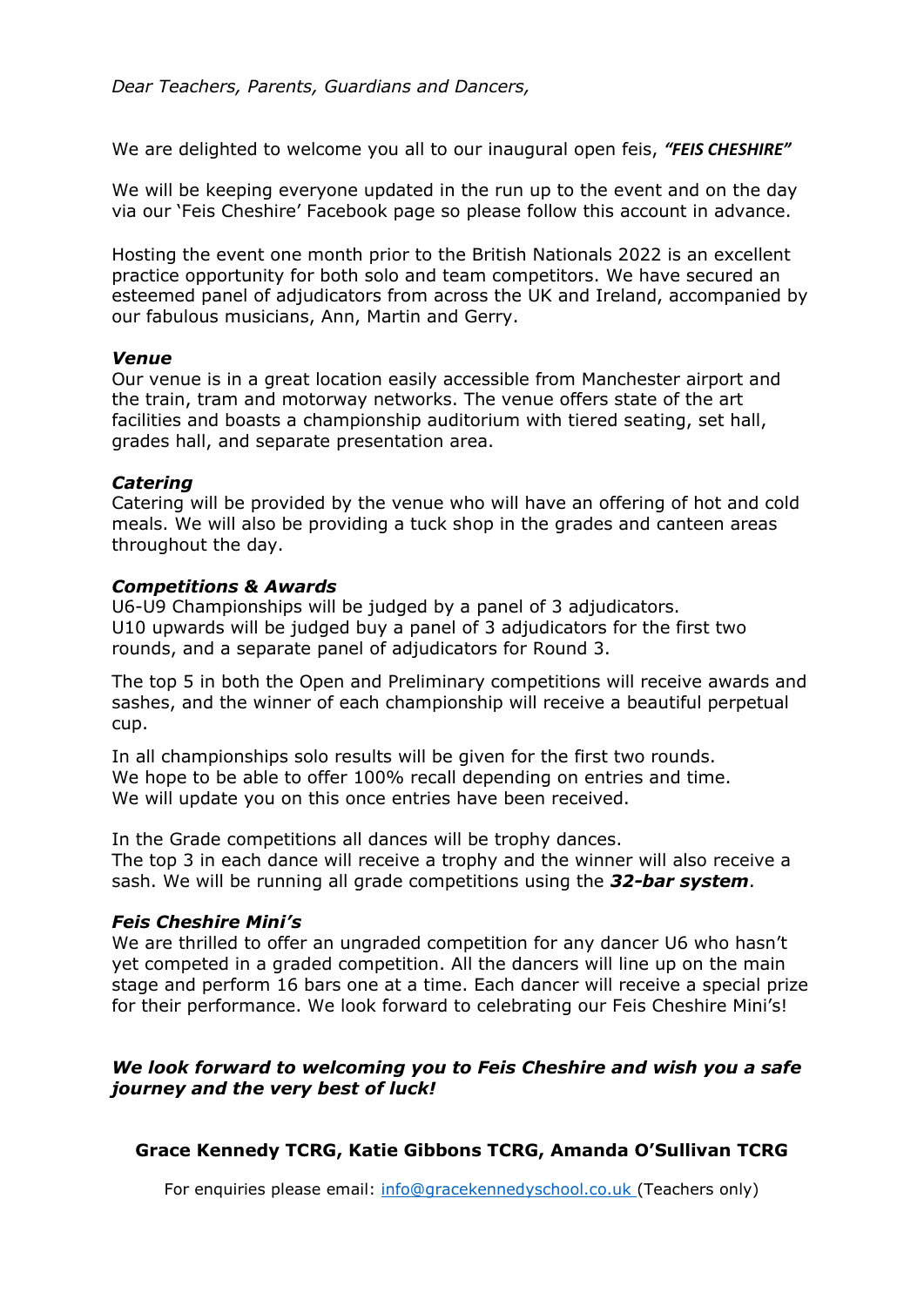We are delighted to welcome you all to our inaugural open feis, *"FEIS CHESHIRE"* 

We will be keeping everyone updated in the run up to the event and on the day via our 'Feis Cheshire' Facebook page so please follow this account in advance.

Hosting the event one month prior to the British Nationals 2022 is an excellent practice opportunity for both solo and team competitors. We have secured an esteemed panel of adjudicators from across the UK and Ireland, accompanied by our fabulous musicians, Ann, Martin and Gerry.

### *Venue*

Our venue is in a great location easily accessible from Manchester airport and the train, tram and motorway networks. The venue offers state of the art facilities and boasts a championship auditorium with tiered seating, set hall, grades hall, and separate presentation area.

### *Catering*

Catering will be provided by the venue who will have an offering of hot and cold meals. We will also be providing a tuck shop in the grades and canteen areas throughout the day.

### *Competitions & Awards*

U6-U9 Championships will be judged by a panel of 3 adjudicators. U10 upwards will be judged buy a panel of 3 adjudicators for the first two rounds, and a separate panel of adjudicators for Round 3.

The top 5 in both the Open and Preliminary competitions will receive awards and sashes, and the winner of each championship will receive a beautiful perpetual cup.

In all championships solo results will be given for the first two rounds. We hope to be able to offer 100% recall depending on entries and time. We will update you on this once entries have been received.

In the Grade competitions all dances will be trophy dances. The top 3 in each dance will receive a trophy and the winner will also receive a sash. We will be running all grade competitions using the *32-bar system*.

### *Feis Cheshire Mini's*

We are thrilled to offer an ungraded competition for any dancer U6 who hasn't yet competed in a graded competition. All the dancers will line up on the main stage and perform 16 bars one at a time. Each dancer will receive a special prize for their performance. We look forward to celebrating our Feis Cheshire Mini's!

### *We look forward to welcoming you to Feis Cheshire and wish you a safe journey and the very best of luck!*

### **Grace Kennedy TCRG, Katie Gibbons TCRG, Amanda O'Sullivan TCRG**

For enquiries please email: info@gracekennedyschool.co.uk (Teachers only)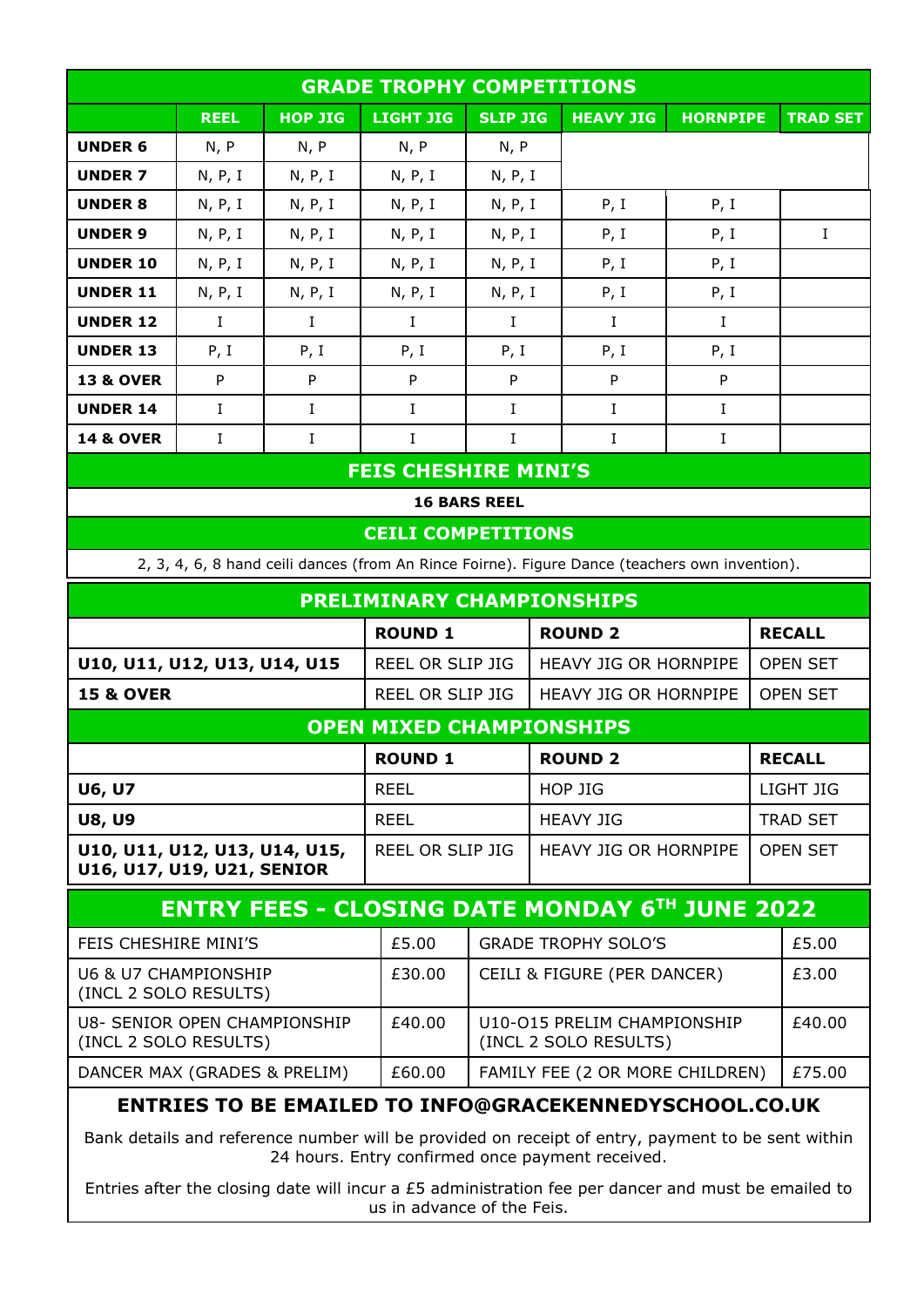| <b>GRADE TROPHY COMPETITIONS</b>                              |             |                |                                 |                                 |                                                                                                |                                                      |        |                 |  |  |  |
|---------------------------------------------------------------|-------------|----------------|---------------------------------|---------------------------------|------------------------------------------------------------------------------------------------|------------------------------------------------------|--------|-----------------|--|--|--|
|                                                               | <b>REEL</b> | <b>HOP JIG</b> | LIGHT JIG                       | <b>SLIP JIG</b>                 | <b>HEAVY JIG</b>                                                                               | <b>HORNPIPE</b>                                      |        | <b>TRAD SET</b> |  |  |  |
| <b>UNDER 6</b>                                                | N, P        | N, P           | N, P                            | N, P                            |                                                                                                |                                                      |        |                 |  |  |  |
| <b>UNDER 7</b>                                                | N, P, I     | N, P, I        | N, P, I                         | N, P, I                         |                                                                                                |                                                      |        |                 |  |  |  |
| <b>UNDER 8</b>                                                | N, P, I     | N, P, I        | N, P, I                         | N, P, I                         | P, I                                                                                           | P, I                                                 |        |                 |  |  |  |
| <b>UNDER 9</b>                                                | N, P, I     | N, P, I        | N, P, I                         | N, P, I                         | P, I                                                                                           | P, I                                                 |        | $\bf{I}$        |  |  |  |
| <b>UNDER 10</b>                                               | N, P, I     | N, P, I        | N, P, I                         | N, P, I                         | P, I                                                                                           | P, I                                                 |        |                 |  |  |  |
| <b>UNDER 11</b>                                               | N, P, I     | N, P, I        | N, P, I                         | N, P, I                         | P, I                                                                                           | P, I                                                 |        |                 |  |  |  |
| <b>UNDER 12</b>                                               | $\bf{I}$    | $\bf{I}$       | $\bf{I}$                        | Ι.                              | $\bf{I}$                                                                                       | $\bf{I}$                                             |        |                 |  |  |  |
| <b>UNDER 13</b>                                               | P, I        | P, I           | P, I                            | P, I                            | P, I                                                                                           | P, I                                                 |        |                 |  |  |  |
| <b>13 &amp; OVER</b>                                          | P           | P              | $\mathsf{P}$                    | P                               | P                                                                                              | P                                                    |        |                 |  |  |  |
| <b>UNDER 14</b>                                               | $\bf{I}$    | $\bf{I}$       | $\bf{I}$                        | L                               | $\bf{I}$                                                                                       | L                                                    |        |                 |  |  |  |
| <b>14 &amp; OVER</b>                                          | Ι.          | $\mathbf I$    | $\bf{I}$                        | $\mathbf I$                     | $\bf{I}$<br>L                                                                                  |                                                      |        |                 |  |  |  |
|                                                               |             |                | <b>FEIS CHESHIRE MINI'S</b>     |                                 |                                                                                                |                                                      |        |                 |  |  |  |
|                                                               |             |                |                                 | <b>16 BARS REEL</b>             |                                                                                                |                                                      |        |                 |  |  |  |
|                                                               |             |                | <b>CEILI COMPETITIONS</b>       |                                 |                                                                                                |                                                      |        |                 |  |  |  |
|                                                               |             |                |                                 |                                 | 2, 3, 4, 6, 8 hand ceili dances (from An Rince Foirne). Figure Dance (teachers own invention). |                                                      |        |                 |  |  |  |
|                                                               |             |                |                                 |                                 | <b>PRELIMINARY CHAMPIONSHIPS</b>                                                               |                                                      |        |                 |  |  |  |
|                                                               |             |                | <b>ROUND 1</b>                  |                                 |                                                                                                | <b>ROUND 2</b><br><b>RECALL</b>                      |        |                 |  |  |  |
| U10, U11, U12, U13, U14, U15                                  |             |                |                                 | REEL OR SLIP JIG                |                                                                                                | HEAVY JIG OR HORNPIPE                                |        | <b>OPEN SET</b> |  |  |  |
| <b>15 &amp; OVER</b>                                          |             |                | REEL OR SLIP JIG                |                                 |                                                                                                | HEAVY JIG OR HORNPIPE                                |        | <b>OPEN SET</b> |  |  |  |
|                                                               |             |                | <b>OPEN MIXED CHAMPIONSHIPS</b> |                                 |                                                                                                |                                                      |        |                 |  |  |  |
|                                                               |             |                | <b>ROUND 1</b>                  |                                 | <b>ROUND 2</b>                                                                                 |                                                      |        |                 |  |  |  |
| <b>U6, U7</b>                                                 |             |                | <b>REEL</b>                     |                                 | HOP JIG                                                                                        |                                                      |        | LIGHT JIG       |  |  |  |
| <b>U8, U9</b>                                                 |             |                | <b>REEL</b>                     |                                 | <b>HEAVY JIG</b>                                                                               |                                                      |        | <b>TRAD SET</b> |  |  |  |
| U10, U11, U12, U13, U14, U15,<br>U16, U17, U19, U21, SENIOR   |             |                | REEL OR SLIP JIG                |                                 |                                                                                                | HEAVY JIG OR HORNPIPE                                |        | <b>OPEN SET</b> |  |  |  |
| <b>ENTRY FEES - CLOSING DATE MONDAY 6TH JUNE 2022</b>         |             |                |                                 |                                 |                                                                                                |                                                      |        |                 |  |  |  |
| FEIS CHESHIRE MINI'S                                          |             |                | £5.00                           | <b>GRADE TROPHY SOLO'S</b>      |                                                                                                |                                                      |        | £5.00           |  |  |  |
| U6 & U7 CHAMPIONSHIP<br>(INCL 2 SOLO RESULTS)                 |             |                | £30.00                          | CEILI & FIGURE (PER DANCER)     |                                                                                                |                                                      |        | £3.00           |  |  |  |
| U8- SENIOR OPEN CHAMPIONSHIP<br>(INCL 2 SOLO RESULTS)         |             |                | £40.00                          |                                 |                                                                                                | U10-015 PRELIM CHAMPIONSHIP<br>(INCL 2 SOLO RESULTS) |        |                 |  |  |  |
| DANCER MAX (GRADES & PRELIM)                                  |             |                | £60.00                          | FAMILY FEE (2 OR MORE CHILDREN) |                                                                                                |                                                      | £75.00 |                 |  |  |  |
| <b>ENTRIES TO BE EMAILED TO INFO@GRACEKENNEDYSCHOOL.CO.UK</b> |             |                |                                 |                                 |                                                                                                |                                                      |        |                 |  |  |  |

Bank details and reference number will be provided on receipt of entry, payment to be sent within 24 hours. Entry confirmed once payment received.

Entries after the closing date will incur a £5 administration fee per dancer and must be emailed to us in advance of the Feis.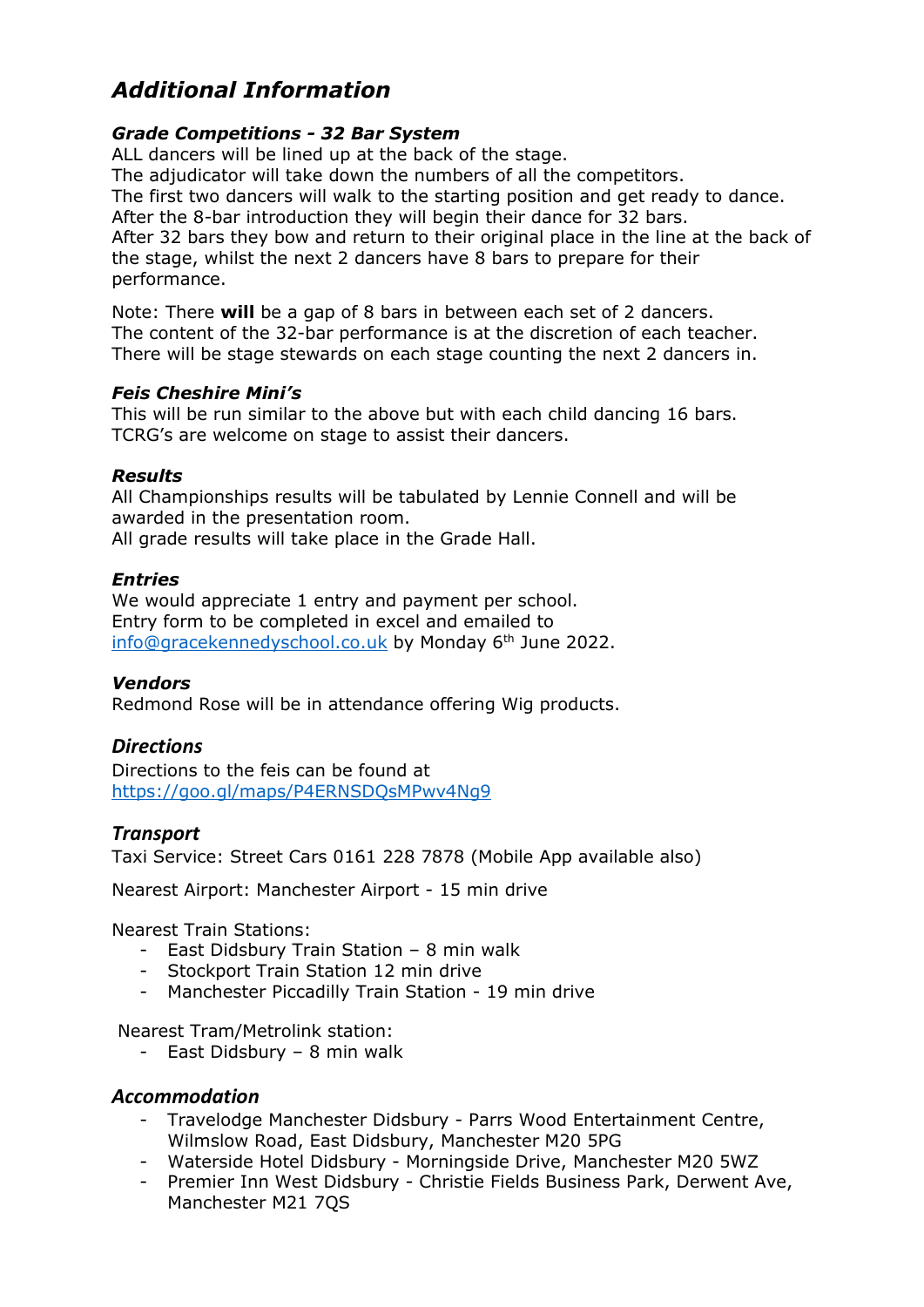### *Additional Information*

### *Grade Competitions - 32 Bar System*

ALL dancers will be lined up at the back of the stage. The adjudicator will take down the numbers of all the competitors. The first two dancers will walk to the starting position and get ready to dance. After the 8-bar introduction they will begin their dance for 32 bars. After 32 bars they bow and return to their original place in the line at the back of the stage, whilst the next 2 dancers have 8 bars to prepare for their performance.

Note: There **will** be a gap of 8 bars in between each set of 2 dancers. The content of the 32-bar performance is at the discretion of each teacher. There will be stage stewards on each stage counting the next 2 dancers in.

### *Feis Cheshire Mini's*

This will be run similar to the above but with each child dancing 16 bars. TCRG's are welcome on stage to assist their dancers.

### *Results*

All Championships results will be tabulated by Lennie Connell and will be awarded in the presentation room.

All grade results will take place in the Grade Hall.

### *Entries*

We would appreciate 1 entry and payment per school. Entry form to be completed in excel and emailed to info@gracekennedyschool.co.uk by Monday 6<sup>th</sup> June 2022.

### *Vendors*

Redmond Rose will be in attendance offering Wig products.

### *Directions*

Directions to the feis can be found at https://goo.gl/maps/P4ERNSDQsMPwv4Ng9

### *Transport*

Taxi Service: Street Cars 0161 228 7878 (Mobile App available also)

Nearest Airport: Manchester Airport - 15 min drive

Nearest Train Stations:

- East Didsbury Train Station 8 min walk
- Stockport Train Station 12 min drive
- Manchester Piccadilly Train Station 19 min drive

Nearest Tram/Metrolink station:

- East Didsbury – 8 min walk

### *Accommodation*

- Travelodge Manchester Didsbury Parrs Wood Entertainment Centre, Wilmslow Road, East Didsbury, Manchester M20 5PG
- Waterside Hotel Didsbury Morningside Drive, Manchester M20 5WZ
- Premier Inn West Didsbury Christie Fields Business Park, Derwent Ave, Manchester M21 7QS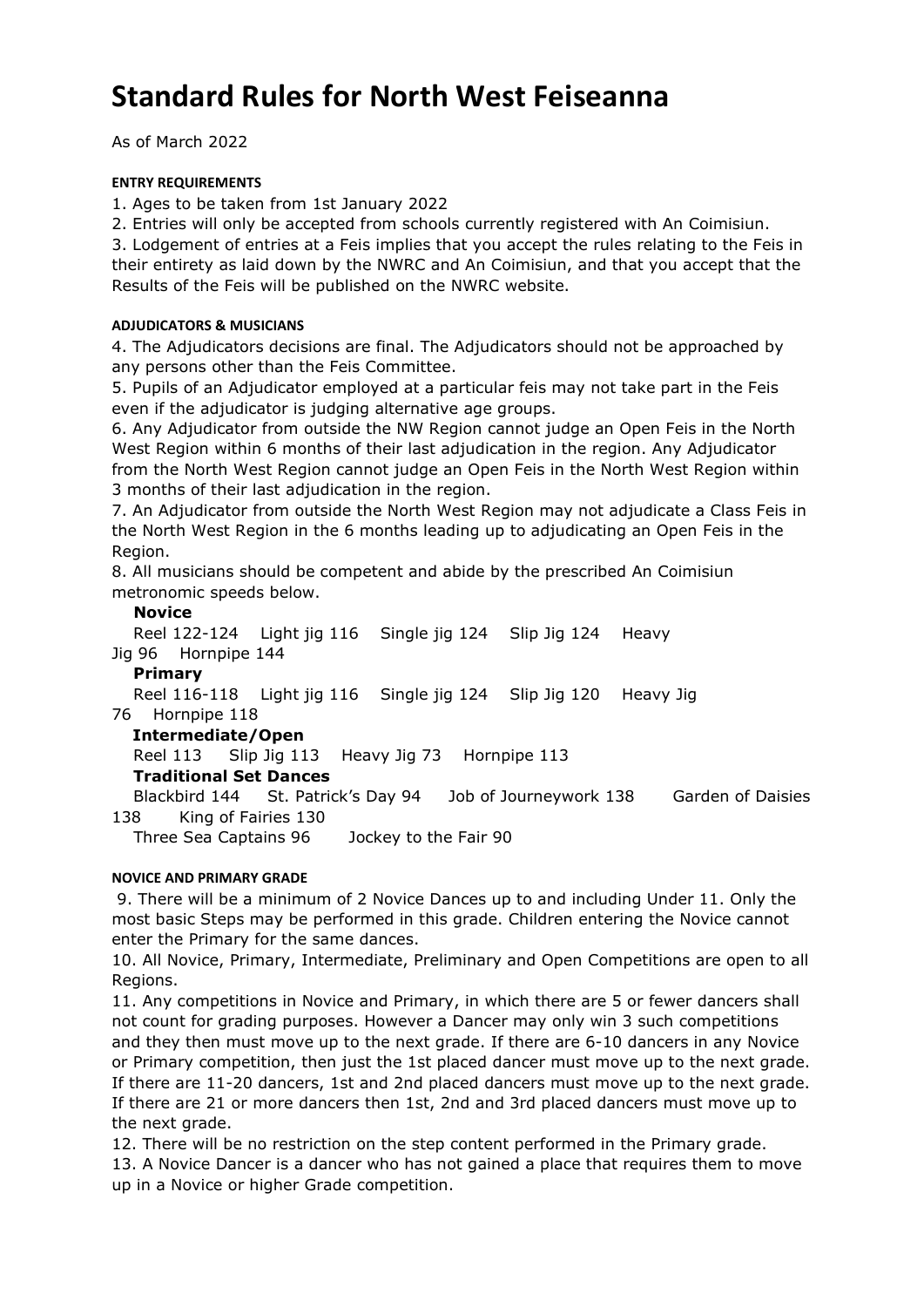# **Standard Rules for North West Feiseanna**

As of March 2022

### **ENTRY REQUIREMENTS**

1. Ages to be taken from 1st January 2022

2. Entries will only be accepted from schools currently registered with An Coimisiun.

3. Lodgement of entries at a Feis implies that you accept the rules relating to the Feis in their entirety as laid down by the NWRC and An Coimisiun, and that you accept that the Results of the Feis will be published on the NWRC website.

### **ADJUDICATORS & MUSICIANS**

4. The Adjudicators decisions are final. The Adjudicators should not be approached by any persons other than the Feis Committee.

5. Pupils of an Adjudicator employed at a particular feis may not take part in the Feis even if the adjudicator is judging alternative age groups.

6. Any Adjudicator from outside the NW Region cannot judge an Open Feis in the North West Region within 6 months of their last adjudication in the region. Any Adjudicator from the North West Region cannot judge an Open Feis in the North West Region within 3 months of their last adjudication in the region.

7. An Adjudicator from outside the North West Region may not adjudicate a Class Feis in the North West Region in the 6 months leading up to adjudicating an Open Feis in the Region.

8. All musicians should be competent and abide by the prescribed An Coimisiun metronomic speeds below.

### **Novice**

 Reel 122-124 Light jig 116 Single jig 124 Slip Jig 124 Heavy Jig 96 Hornpipe 144

### **Primary**

Reel 116-118 Light jig 116 Single jig 124 Slip Jig 120 Heavy Jig

#### 76 Hornpipe 118  **Intermediate/Open**

Reel 113 Slip Jig 113 Heavy Jig 73 Hornpipe 113

### **Traditional Set Dances**

 Blackbird 144 St. Patrick's Day 94 Job of Journeywork 138 Garden of Daisies 138 King of Fairies 130

Three Sea Captains 96 Jockey to the Fair 90

### **NOVICE AND PRIMARY GRADE**

 9. There will be a minimum of 2 Novice Dances up to and including Under 11. Only the most basic Steps may be performed in this grade. Children entering the Novice cannot enter the Primary for the same dances.

10. All Novice, Primary, Intermediate, Preliminary and Open Competitions are open to all Regions.

11. Any competitions in Novice and Primary, in which there are 5 or fewer dancers shall not count for grading purposes. However a Dancer may only win 3 such competitions and they then must move up to the next grade. If there are 6-10 dancers in any Novice or Primary competition, then just the 1st placed dancer must move up to the next grade. If there are 11-20 dancers, 1st and 2nd placed dancers must move up to the next grade. If there are 21 or more dancers then 1st, 2nd and 3rd placed dancers must move up to the next grade.

12. There will be no restriction on the step content performed in the Primary grade. 13. A Novice Dancer is a dancer who has not gained a place that requires them to move up in a Novice or higher Grade competition.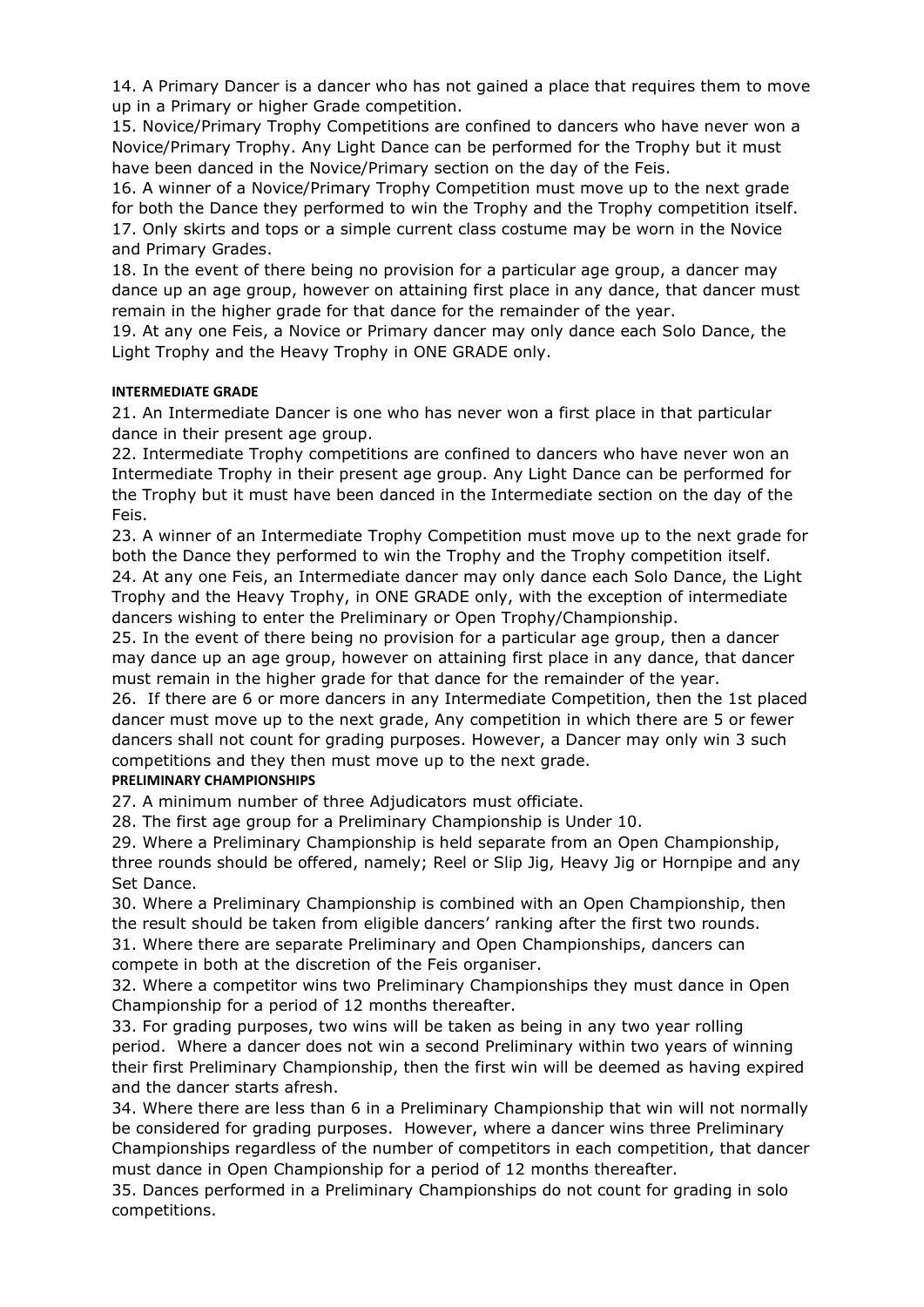14. A Primary Dancer is a dancer who has not gained a place that requires them to move up in a Primary or higher Grade competition.

15. Novice/Primary Trophy Competitions are confined to dancers who have never won a Novice/Primary Trophy. Any Light Dance can be performed for the Trophy but it must have been danced in the Novice/Primary section on the day of the Feis.

16. A winner of a Novice/Primary Trophy Competition must move up to the next grade for both the Dance they performed to win the Trophy and the Trophy competition itself. 17. Only skirts and tops or a simple current class costume may be worn in the Novice and Primary Grades.

18. In the event of there being no provision for a particular age group, a dancer may dance up an age group, however on attaining first place in any dance, that dancer must remain in the higher grade for that dance for the remainder of the year.

19. At any one Feis, a Novice or Primary dancer may only dance each Solo Dance, the Light Trophy and the Heavy Trophy in ONE GRADE only.

### **INTERMEDIATE GRADE**

21. An Intermediate Dancer is one who has never won a first place in that particular dance in their present age group.

22. Intermediate Trophy competitions are confined to dancers who have never won an Intermediate Trophy in their present age group. Any Light Dance can be performed for the Trophy but it must have been danced in the Intermediate section on the day of the Feis.

23. A winner of an Intermediate Trophy Competition must move up to the next grade for both the Dance they performed to win the Trophy and the Trophy competition itself. 24. At any one Feis, an Intermediate dancer may only dance each Solo Dance, the Light Trophy and the Heavy Trophy, in ONE GRADE only, with the exception of intermediate dancers wishing to enter the Preliminary or Open Trophy/Championship.

25. In the event of there being no provision for a particular age group, then a dancer may dance up an age group, however on attaining first place in any dance, that dancer must remain in the higher grade for that dance for the remainder of the year.

26. If there are 6 or more dancers in any Intermediate Competition, then the 1st placed dancer must move up to the next grade, Any competition in which there are 5 or fewer dancers shall not count for grading purposes. However, a Dancer may only win 3 such competitions and they then must move up to the next grade.

### **PRELIMINARY CHAMPIONSHIPS**

27. A minimum number of three Adjudicators must officiate.

28. The first age group for a Preliminary Championship is Under 10.

29. Where a Preliminary Championship is held separate from an Open Championship, three rounds should be offered, namely; Reel or Slip Jig, Heavy Jig or Hornpipe and any Set Dance.

30. Where a Preliminary Championship is combined with an Open Championship, then the result should be taken from eligible dancers' ranking after the first two rounds.

31. Where there are separate Preliminary and Open Championships, dancers can compete in both at the discretion of the Feis organiser.

32. Where a competitor wins two Preliminary Championships they must dance in Open Championship for a period of 12 months thereafter.

33. For grading purposes, two wins will be taken as being in any two year rolling period. Where a dancer does not win a second Preliminary within two years of winning their first Preliminary Championship, then the first win will be deemed as having expired and the dancer starts afresh.

34. Where there are less than 6 in a Preliminary Championship that win will not normally be considered for grading purposes. However, where a dancer wins three Preliminary Championships regardless of the number of competitors in each competition, that dancer must dance in Open Championship for a period of 12 months thereafter.

35. Dances performed in a Preliminary Championships do not count for grading in solo competitions.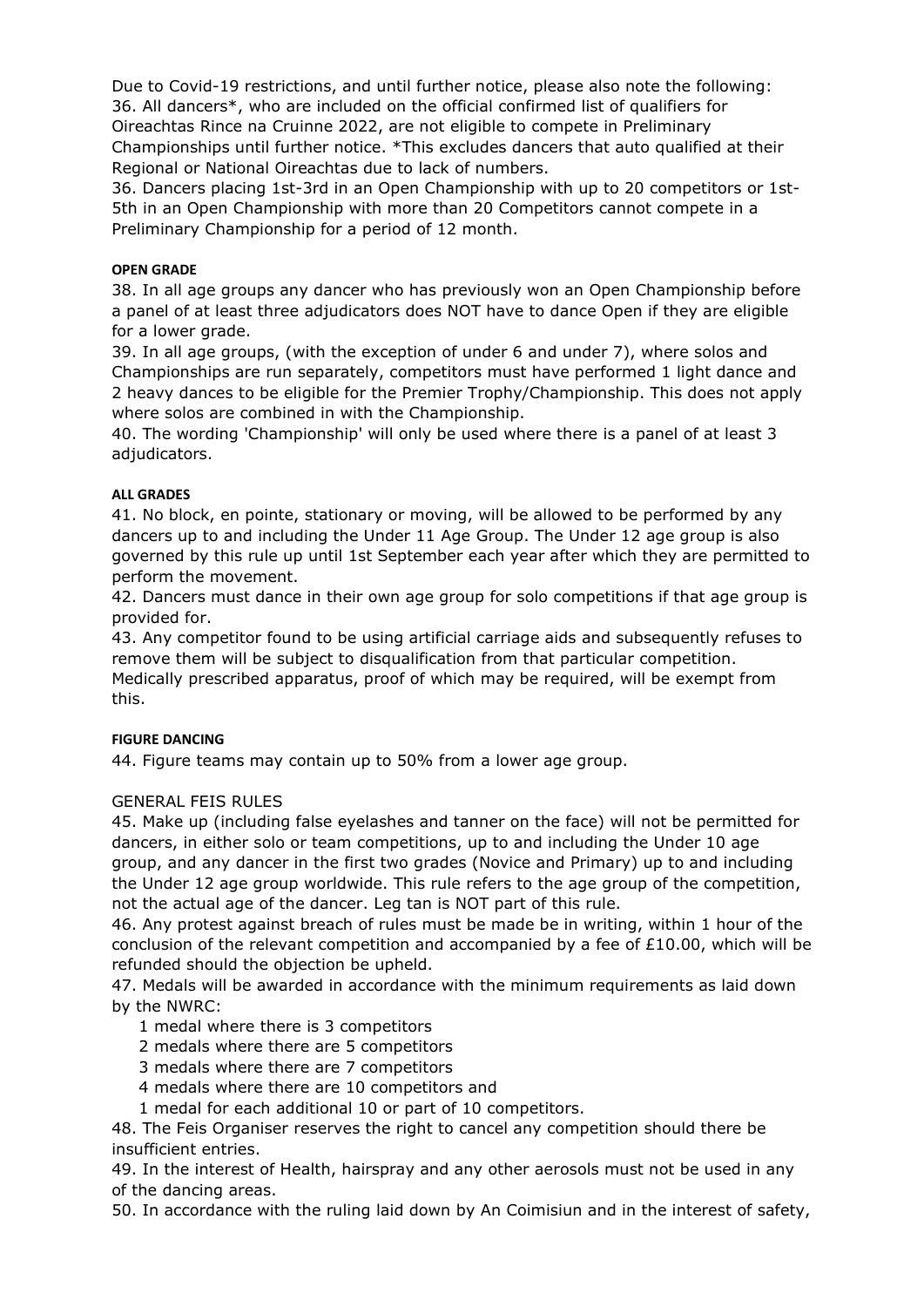Due to Covid-19 restrictions, and until further notice, please also note the following: 36. All dancers\*, who are included on the official confirmed list of qualifiers for Oireachtas Rince na Cruinne 2022, are not eligible to compete in Preliminary Championships until further notice. \*This excludes dancers that auto qualified at their Regional or National Oireachtas due to lack of numbers.

36. Dancers placing 1st-3rd in an Open Championship with up to 20 competitors or 1st-5th in an Open Championship with more than 20 Competitors cannot compete in a Preliminary Championship for a period of 12 month.

### **OPEN GRADE**

38. In all age groups any dancer who has previously won an Open Championship before a panel of at least three adjudicators does NOT have to dance Open if they are eligible for a lower grade.

39. In all age groups, (with the exception of under 6 and under 7), where solos and Championships are run separately, competitors must have performed 1 light dance and 2 heavy dances to be eligible for the Premier Trophy/Championship. This does not apply where solos are combined in with the Championship.

40. The wording 'Championship' will only be used where there is a panel of at least 3 adjudicators.

### **ALL GRADES**

41. No block, en pointe, stationary or moving, will be allowed to be performed by any dancers up to and including the Under 11 Age Group. The Under 12 age group is also governed by this rule up until 1st September each year after which they are permitted to perform the movement.

42. Dancers must dance in their own age group for solo competitions if that age group is provided for.

43. Any competitor found to be using artificial carriage aids and subsequently refuses to remove them will be subject to disqualification from that particular competition. Medically prescribed apparatus, proof of which may be required, will be exempt from this.

### **FIGURE DANCING**

44. Figure teams may contain up to 50% from a lower age group.

### GENERAL FEIS RULES

45. Make up (including false eyelashes and tanner on the face) will not be permitted for dancers, in either solo or team competitions, up to and including the Under 10 age group, and any dancer in the first two grades (Novice and Primary) up to and including the Under 12 age group worldwide. This rule refers to the age group of the competition, not the actual age of the dancer. Leg tan is NOT part of this rule.

46. Any protest against breach of rules must be made be in writing, within 1 hour of the conclusion of the relevant competition and accompanied by a fee of £10.00, which will be refunded should the objection be upheld.

47. Medals will be awarded in accordance with the minimum requirements as laid down by the NWRC:

- 1 medal where there is 3 competitors
- 2 medals where there are 5 competitors
- 3 medals where there are 7 competitors
- 4 medals where there are 10 competitors and
- 1 medal for each additional 10 or part of 10 competitors.

48. The Feis Organiser reserves the right to cancel any competition should there be insufficient entries.

49. In the interest of Health, hairspray and any other aerosols must not be used in any of the dancing areas.

50. In accordance with the ruling laid down by An Coimisiun and in the interest of safety,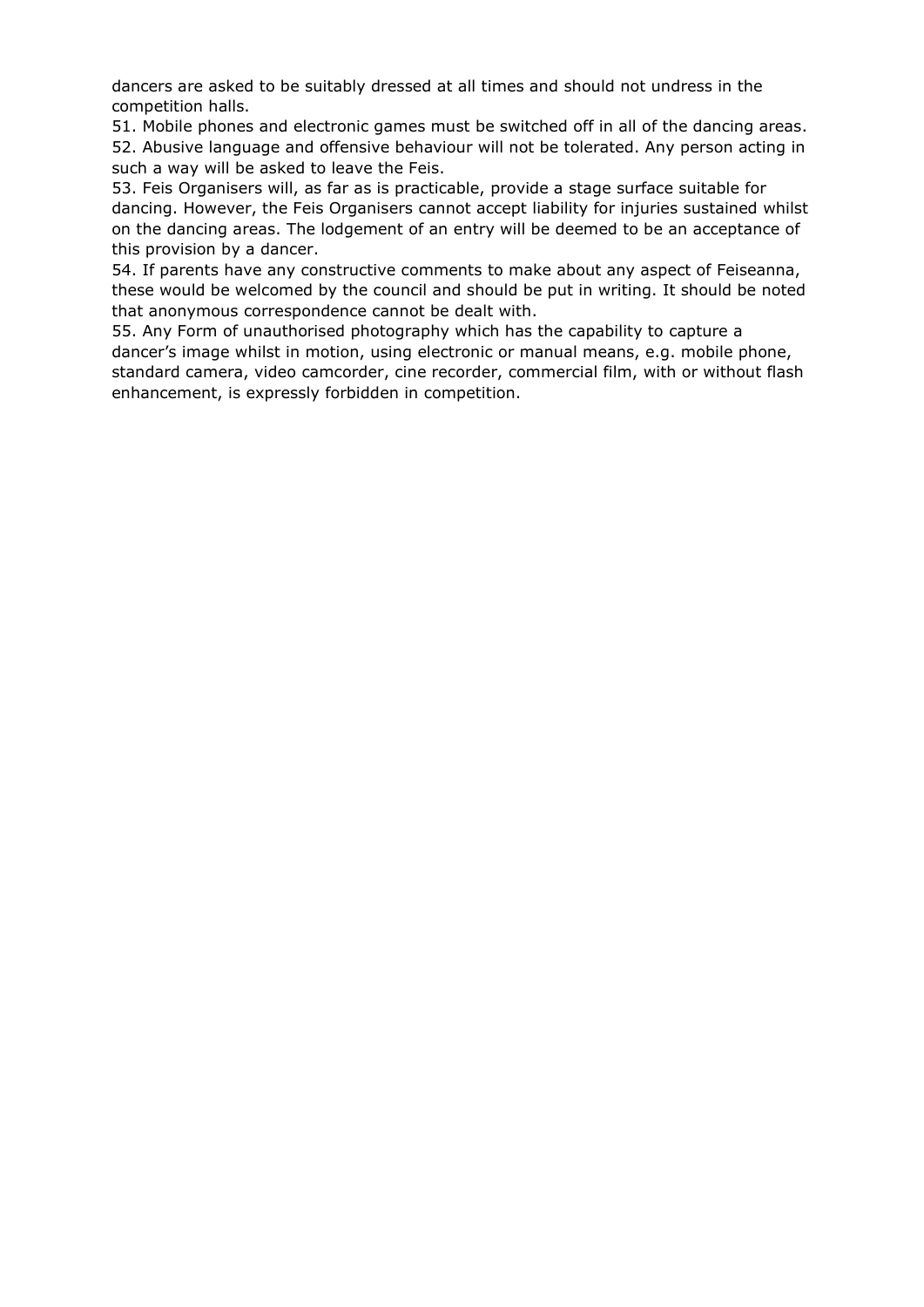dancers are asked to be suitably dressed at all times and should not undress in the competition halls.

51. Mobile phones and electronic games must be switched off in all of the dancing areas. 52. Abusive language and offensive behaviour will not be tolerated. Any person acting in such a way will be asked to leave the Feis.

53. Feis Organisers will, as far as is practicable, provide a stage surface suitable for dancing. However, the Feis Organisers cannot accept liability for injuries sustained whilst on the dancing areas. The lodgement of an entry will be deemed to be an acceptance of this provision by a dancer.

54. If parents have any constructive comments to make about any aspect of Feiseanna, these would be welcomed by the council and should be put in writing. It should be noted that anonymous correspondence cannot be dealt with.

55. Any Form of unauthorised photography which has the capability to capture a dancer's image whilst in motion, using electronic or manual means, e.g. mobile phone, standard camera, video camcorder, cine recorder, commercial film, with or without flash enhancement, is expressly forbidden in competition.